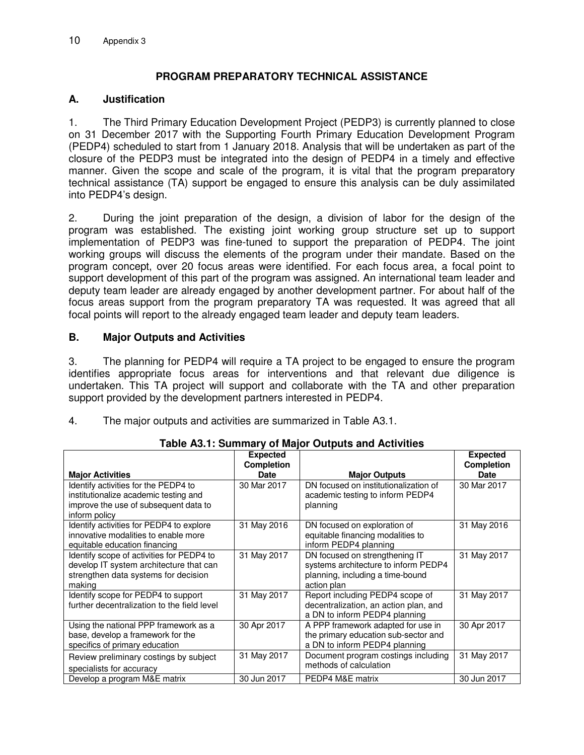# **PROGRAM PREPARATORY TECHNICAL ASSISTANCE**

### **A. Justification**

1. The Third Primary Education Development Project (PEDP3) is currently planned to close on 31 December 2017 with the Supporting Fourth Primary Education Development Program (PEDP4) scheduled to start from 1 January 2018. Analysis that will be undertaken as part of the closure of the PEDP3 must be integrated into the design of PEDP4 in a timely and effective manner. Given the scope and scale of the program, it is vital that the program preparatory technical assistance (TA) support be engaged to ensure this analysis can be duly assimilated into PEDP4's design.

2. During the joint preparation of the design, a division of labor for the design of the program was established. The existing joint working group structure set up to support implementation of PEDP3 was fine-tuned to support the preparation of PEDP4. The joint working groups will discuss the elements of the program under their mandate. Based on the program concept, over 20 focus areas were identified. For each focus area, a focal point to support development of this part of the program was assigned. An international team leader and deputy team leader are already engaged by another development partner. For about half of the focus areas support from the program preparatory TA was requested. It was agreed that all focal points will report to the already engaged team leader and deputy team leaders.

## **B. Major Outputs and Activities**

3. The planning for PEDP4 will require a TA project to be engaged to ensure the program identifies appropriate focus areas for interventions and that relevant due diligence is undertaken. This TA project will support and collaborate with the TA and other preparation support provided by the development partners interested in PEDP4.

| The major outputs and activities are summarized in Table A3.1.<br>4. |  |
|----------------------------------------------------------------------|--|
|----------------------------------------------------------------------|--|

| rapic Ad. I. Juliillary of Major Outputs and Activities                                                                                 |                                      |                                                                                                                           |                                      |
|-----------------------------------------------------------------------------------------------------------------------------------------|--------------------------------------|---------------------------------------------------------------------------------------------------------------------------|--------------------------------------|
|                                                                                                                                         | <b>Expected</b><br><b>Completion</b> |                                                                                                                           | <b>Expected</b><br><b>Completion</b> |
| <b>Major Activities</b>                                                                                                                 | <b>Date</b>                          | <b>Major Outputs</b>                                                                                                      | Date                                 |
| Identify activities for the PEDP4 to<br>institutionalize academic testing and<br>improve the use of subsequent data to<br>inform policy | 30 Mar 2017                          | DN focused on institutionalization of<br>academic testing to inform PEDP4<br>planning                                     | 30 Mar 2017                          |
| Identify activities for PEDP4 to explore<br>innovative modalities to enable more<br>equitable education financing                       | 31 May 2016                          | DN focused on exploration of<br>equitable financing modalities to<br>inform PEDP4 planning                                | 31 May 2016                          |
| Identify scope of activities for PEDP4 to<br>develop IT system architecture that can<br>strengthen data systems for decision<br>making  | 31 May 2017                          | DN focused on strengthening IT<br>systems architecture to inform PEDP4<br>planning, including a time-bound<br>action plan | 31 May 2017                          |
| Identify scope for PEDP4 to support<br>further decentralization to the field level                                                      | 31 May 2017                          | Report including PEDP4 scope of<br>decentralization, an action plan, and<br>a DN to inform PEDP4 planning                 | 31 May 2017                          |
| Using the national PPP framework as a<br>base, develop a framework for the<br>specifics of primary education                            | 30 Apr 2017                          | A PPP framework adapted for use in<br>the primary education sub-sector and<br>a DN to inform PEDP4 planning               | 30 Apr 2017                          |
| Review preliminary costings by subject<br>specialists for accuracy                                                                      | 31 May 2017                          | Document program costings including<br>methods of calculation                                                             | 31 May 2017                          |
| Develop a program M&E matrix                                                                                                            | 30 Jun 2017                          | PEDP4 M&E matrix                                                                                                          | 30 Jun 2017                          |

**Table A3.1: Summary of Major Outputs and Activities**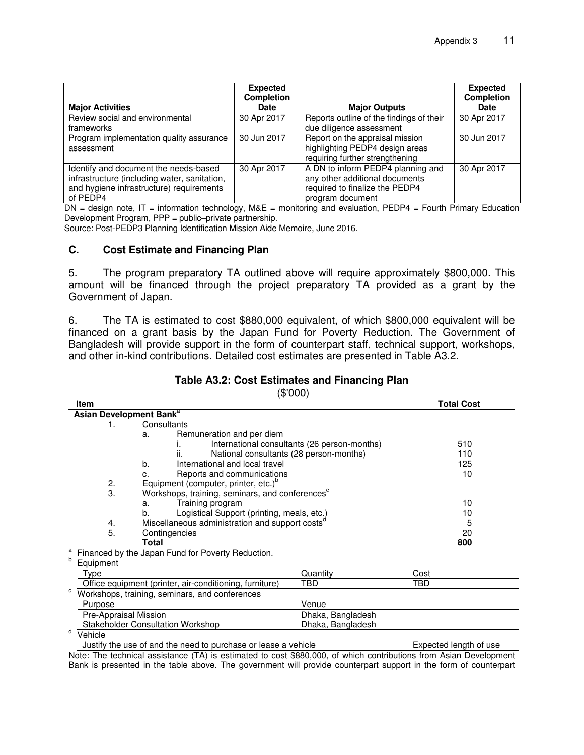| <b>Major Activities</b>                                                                                                                       | <b>Expected</b><br><b>Completion</b><br><b>Date</b> | <b>Major Outputs</b>                                                                                                      | <b>Expected</b><br><b>Completion</b><br><b>Date</b> |
|-----------------------------------------------------------------------------------------------------------------------------------------------|-----------------------------------------------------|---------------------------------------------------------------------------------------------------------------------------|-----------------------------------------------------|
| Review social and environmental<br>frameworks                                                                                                 | 30 Apr 2017                                         | Reports outline of the findings of their<br>due diligence assessment                                                      | 30 Apr 2017                                         |
| Program implementation quality assurance<br>assessment                                                                                        | 30 Jun 2017                                         | Report on the appraisal mission<br>highlighting PEDP4 design areas<br>requiring further strengthening                     | 30 Jun 2017                                         |
| Identify and document the needs-based<br>infrastructure (including water, sanitation,<br>and hygiene infrastructure) requirements<br>of PEDP4 | 30 Apr 2017                                         | A DN to inform PEDP4 planning and<br>any other additional documents<br>required to finalize the PEDP4<br>program document | 30 Apr 2017                                         |

DN = design note, IT = information technology, M&E = monitoring and evaluation, PEDP4 = Fourth Primary Education Development Program, PPP = public–private partnership.

Source: Post-PEDP3 Planning Identification Mission Aide Memoire, June 2016.

#### **C. Cost Estimate and Financing Plan**

5. The program preparatory TA outlined above will require approximately \$800,000. This amount will be financed through the project preparatory TA provided as a grant by the Government of Japan.

6. The TA is estimated to cost \$880,000 equivalent, of which \$800,000 equivalent will be financed on a grant basis by the Japan Fund for Poverty Reduction. The Government of Bangladesh will provide support in the form of counterpart staff, technical support, workshops, and other in-kind contributions. Detailed cost estimates are presented in Table A3.2.

#### **Table A3.2: Cost Estimates and Financing Plan**

(\$'000)

| <b>Item</b>    |                                                             |                                              |      | <b>Total Cost</b> |
|----------------|-------------------------------------------------------------|----------------------------------------------|------|-------------------|
|                | Asian Development Bank <sup>a</sup>                         |                                              |      |                   |
| 1.             | Consultants                                                 |                                              |      |                   |
|                | Remuneration and per diem<br>a.                             |                                              |      |                   |
|                |                                                             | International consultants (26 person-months) |      | 510               |
|                | ii.<br>National consultants (28 person-months)              |                                              |      | 110               |
|                | International and local travel<br>b.                        |                                              |      | 125               |
|                | Reports and communications<br>C.                            | 10                                           |      |                   |
| 2.             | Equipment (computer, printer, etc.) <sup>b</sup>            |                                              |      |                   |
| 3.             | Workshops, training, seminars, and conferences <sup>c</sup> |                                              |      |                   |
|                | Training program<br>10<br>a.                                |                                              |      |                   |
|                | Logistical Support (printing, meals, etc.)<br>b.            |                                              |      | 10                |
| 4.             | Miscellaneous administration and support costs <sup>a</sup> |                                              |      | 5                 |
| 5.             | Contingencies                                               |                                              |      | 20                |
|                | <b>Total</b>                                                |                                              |      | 800               |
| а              | Financed by the Japan Fund for Poverty Reduction.           |                                              |      |                   |
| b<br>Equipment |                                                             |                                              |      |                   |
| Type           |                                                             | Quantity                                     | Cost |                   |
|                | Office equipment (printer, air-conditioning, furniture)     | TBD                                          | TBD  |                   |
| с              | Workshops, training, seminars, and conferences              |                                              |      |                   |
| Purpose        |                                                             | Venue                                        |      |                   |
|                | Pre-Appraisal Mission                                       | Dhaka, Bangladesh                            |      |                   |
|                | <b>Stakeholder Consultation Workshop</b>                    | Dhaka, Bangladesh                            |      |                   |
| d<br>Vehicle   |                                                             |                                              |      |                   |

Justify the use of and the need to purchase or lease a vehicle Expected length of use Note: The technical assistance (TA) is estimated to cost \$880,000, of which contributions from Asian Development Bank is presented in the table above. The government will provide counterpart support in the form of counterpart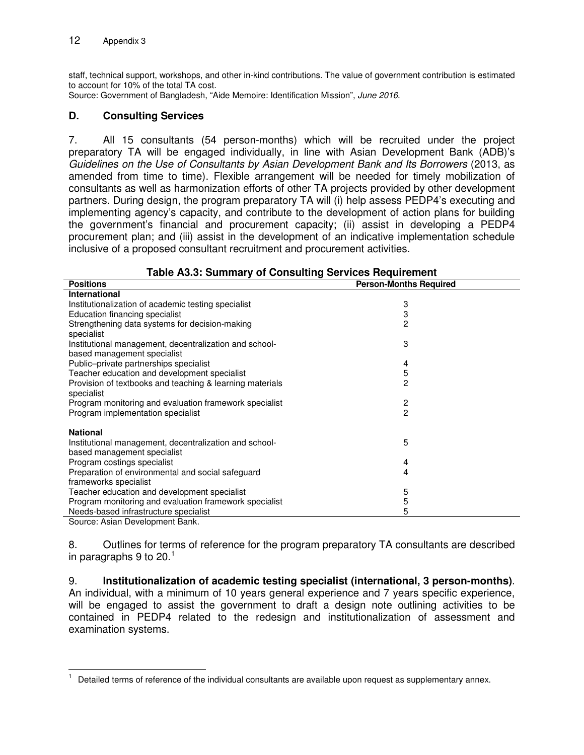staff, technical support, workshops, and other in-kind contributions. The value of government contribution is estimated to account for 10% of the total TA cost.

Source: Government of Bangladesh, "Aide Memoire: Identification Mission", June 2016.

## **D. Consulting Services**

7. All 15 consultants (54 person-months) which will be recruited under the project preparatory TA will be engaged individually, in line with Asian Development Bank (ADB)'s Guidelines on the Use of Consultants by Asian Development Bank and Its Borrowers (2013, as amended from time to time). Flexible arrangement will be needed for timely mobilization of consultants as well as harmonization efforts of other TA projects provided by other development partners. During design, the program preparatory TA will (i) help assess PEDP4's executing and implementing agency's capacity, and contribute to the development of action plans for building the government's financial and procurement capacity; (ii) assist in developing a PEDP4 procurement plan; and (iii) assist in the development of an indicative implementation schedule inclusive of a proposed consultant recruitment and procurement activities.

| <b>Positions</b>                                         | <b>Person-Months Required</b> |  |  |
|----------------------------------------------------------|-------------------------------|--|--|
| <b>International</b>                                     |                               |  |  |
| Institutionalization of academic testing specialist      | 3                             |  |  |
| Education financing specialist                           | 3                             |  |  |
| Strengthening data systems for decision-making           | $\overline{c}$                |  |  |
| specialist                                               |                               |  |  |
| Institutional management, decentralization and school-   | 3                             |  |  |
| based management specialist                              |                               |  |  |
| Public-private partnerships specialist                   | 4                             |  |  |
| Teacher education and development specialist             | 5                             |  |  |
| Provision of textbooks and teaching & learning materials | $\overline{c}$                |  |  |
| specialist                                               |                               |  |  |
| Program monitoring and evaluation framework specialist   | 2                             |  |  |
| Program implementation specialist                        | $\overline{c}$                |  |  |
|                                                          |                               |  |  |
| <b>National</b>                                          |                               |  |  |
| Institutional management, decentralization and school-   | 5                             |  |  |
| based management specialist                              |                               |  |  |
| Program costings specialist                              | 4                             |  |  |
| Preparation of environmental and social safeguard        | 4                             |  |  |
| frameworks specialist                                    |                               |  |  |
| Teacher education and development specialist             | 5                             |  |  |
| Program monitoring and evaluation framework specialist   | 5                             |  |  |
| Needs-based infrastructure specialist                    | 5                             |  |  |
| Source: Asian Development Bank.                          |                               |  |  |

#### **Table A3.3: Summary of Consulting Services Requirement**

8. Outlines for terms of reference for the program preparatory TA consultants are described in paragraphs 9 to 20. $^\mathrm{1}$  $^\mathrm{1}$  $^\mathrm{1}$ 

9. **Institutionalization of academic testing specialist (international, 3 person-months)**. An individual, with a minimum of 10 years general experience and 7 years specific experience, will be engaged to assist the government to draft a design note outlining activities to be contained in PEDP4 related to the redesign and institutionalization of assessment and examination systems.

<span id="page-2-0"></span> $\overline{1}$ 1 Detailed terms of reference of the individual consultants are available upon request as supplementary annex.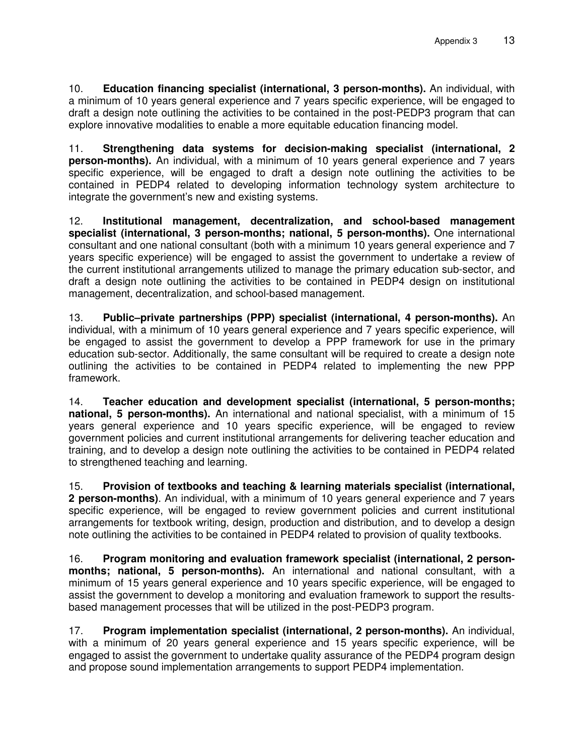10. **Education financing specialist (international, 3 person-months).** An individual, with a minimum of 10 years general experience and 7 years specific experience, will be engaged to draft a design note outlining the activities to be contained in the post-PEDP3 program that can explore innovative modalities to enable a more equitable education financing model.

11. **Strengthening data systems for decision-making specialist (international, 2 person-months).** An individual, with a minimum of 10 years general experience and 7 years specific experience, will be engaged to draft a design note outlining the activities to be contained in PEDP4 related to developing information technology system architecture to integrate the government's new and existing systems.

12. **Institutional management, decentralization, and school-based management specialist (international, 3 person-months; national, 5 person-months).** One international consultant and one national consultant (both with a minimum 10 years general experience and 7 years specific experience) will be engaged to assist the government to undertake a review of the current institutional arrangements utilized to manage the primary education sub-sector, and draft a design note outlining the activities to be contained in PEDP4 design on institutional management, decentralization, and school-based management.

13. **Public–private partnerships (PPP) specialist (international, 4 person-months).** An individual, with a minimum of 10 years general experience and 7 years specific experience, will be engaged to assist the government to develop a PPP framework for use in the primary education sub-sector. Additionally, the same consultant will be required to create a design note outlining the activities to be contained in PEDP4 related to implementing the new PPP framework.

14. **Teacher education and development specialist (international, 5 person-months; national, 5 person-months).** An international and national specialist, with a minimum of 15 years general experience and 10 years specific experience, will be engaged to review government policies and current institutional arrangements for delivering teacher education and training, and to develop a design note outlining the activities to be contained in PEDP4 related to strengthened teaching and learning.

15. **Provision of textbooks and teaching & learning materials specialist (international, 2 person-months)**. An individual, with a minimum of 10 years general experience and 7 years specific experience, will be engaged to review government policies and current institutional arrangements for textbook writing, design, production and distribution, and to develop a design note outlining the activities to be contained in PEDP4 related to provision of quality textbooks.

16. **Program monitoring and evaluation framework specialist (international, 2 personmonths; national, 5 person-months).** An international and national consultant, with a minimum of 15 years general experience and 10 years specific experience, will be engaged to assist the government to develop a monitoring and evaluation framework to support the resultsbased management processes that will be utilized in the post-PEDP3 program.

17. **Program implementation specialist (international, 2 person-months).** An individual, with a minimum of 20 years general experience and 15 years specific experience, will be engaged to assist the government to undertake quality assurance of the PEDP4 program design and propose sound implementation arrangements to support PEDP4 implementation.